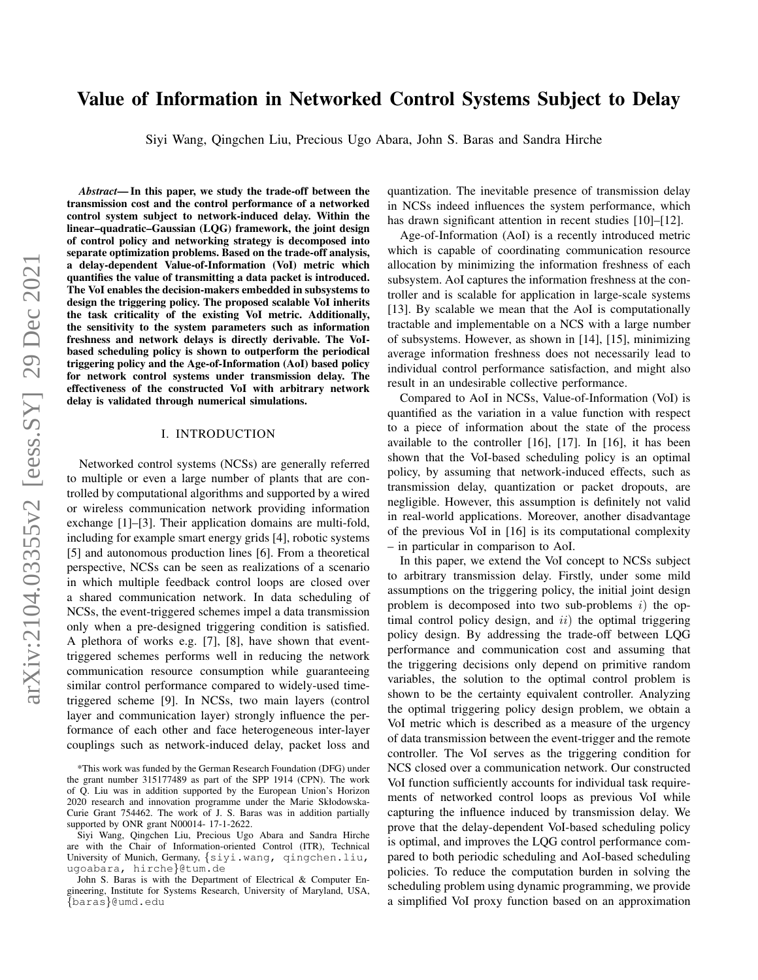# arXiv:2104.03355v2 [eess.SY] 29 Dec 2021 arXiv:2104.03355v2 [eess.SY] 29 Dec 2021

# Value of Information in Networked Control Systems Subject to Delay

Siyi Wang, Qingchen Liu, Precious Ugo Abara, John S. Baras and Sandra Hirche

*Abstract*— In this paper, we study the trade-off between the transmission cost and the control performance of a networked control system subject to network-induced delay. Within the linear–quadratic–Gaussian (LQG) framework, the joint design of control policy and networking strategy is decomposed into separate optimization problems. Based on the trade-off analysis, a delay-dependent Value-of-Information (VoI) metric which quantifies the value of transmitting a data packet is introduced. The VoI enables the decision-makers embedded in subsystems to design the triggering policy. The proposed scalable VoI inherits the task criticality of the existing VoI metric. Additionally, the sensitivity to the system parameters such as information freshness and network delays is directly derivable. The VoIbased scheduling policy is shown to outperform the periodical triggering policy and the Age-of-Information (AoI) based policy for network control systems under transmission delay. The effectiveness of the constructed VoI with arbitrary network delay is validated through numerical simulations.

### I. INTRODUCTION

Networked control systems (NCSs) are generally referred to multiple or even a large number of plants that are controlled by computational algorithms and supported by a wired or wireless communication network providing information exchange [1]–[3]. Their application domains are multi-fold, including for example smart energy grids [4], robotic systems [5] and autonomous production lines [6]. From a theoretical perspective, NCSs can be seen as realizations of a scenario in which multiple feedback control loops are closed over a shared communication network. In data scheduling of NCSs, the event-triggered schemes impel a data transmission only when a pre-designed triggering condition is satisfied. A plethora of works e.g. [7], [8], have shown that eventtriggered schemes performs well in reducing the network communication resource consumption while guaranteeing similar control performance compared to widely-used timetriggered scheme [9]. In NCSs, two main layers (control layer and communication layer) strongly influence the performance of each other and face heterogeneous inter-layer couplings such as network-induced delay, packet loss and quantization. The inevitable presence of transmission delay in NCSs indeed influences the system performance, which has drawn significant attention in recent studies [10]–[12].

Age-of-Information (AoI) is a recently introduced metric which is capable of coordinating communication resource allocation by minimizing the information freshness of each subsystem. AoI captures the information freshness at the controller and is scalable for application in large-scale systems [13]. By scalable we mean that the AoI is computationally tractable and implementable on a NCS with a large number of subsystems. However, as shown in [14], [15], minimizing average information freshness does not necessarily lead to individual control performance satisfaction, and might also result in an undesirable collective performance.

Compared to AoI in NCSs, Value-of-Information (VoI) is quantified as the variation in a value function with respect to a piece of information about the state of the process available to the controller [16], [17]. In [16], it has been shown that the VoI-based scheduling policy is an optimal policy, by assuming that network-induced effects, such as transmission delay, quantization or packet dropouts, are negligible. However, this assumption is definitely not valid in real-world applications. Moreover, another disadvantage of the previous VoI in [16] is its computational complexity – in particular in comparison to AoI.

In this paper, we extend the VoI concept to NCSs subject to arbitrary transmission delay. Firstly, under some mild assumptions on the triggering policy, the initial joint design problem is decomposed into two sub-problems  $i$ ) the optimal control policy design, and  $ii$ ) the optimal triggering policy design. By addressing the trade-off between LQG performance and communication cost and assuming that the triggering decisions only depend on primitive random variables, the solution to the optimal control problem is shown to be the certainty equivalent controller. Analyzing the optimal triggering policy design problem, we obtain a VoI metric which is described as a measure of the urgency of data transmission between the event-trigger and the remote controller. The VoI serves as the triggering condition for NCS closed over a communication network. Our constructed VoI function sufficiently accounts for individual task requirements of networked control loops as previous VoI while capturing the influence induced by transmission delay. We prove that the delay-dependent VoI-based scheduling policy is optimal, and improves the LQG control performance compared to both periodic scheduling and AoI-based scheduling policies. To reduce the computation burden in solving the scheduling problem using dynamic programming, we provide a simplified VoI proxy function based on an approximation

<sup>\*</sup>This work was funded by the German Research Foundation (DFG) under the grant number 315177489 as part of the SPP 1914 (CPN). The work of Q. Liu was in addition supported by the European Union's Horizon 2020 research and innovation programme under the Marie Skłodowska-Curie Grant 754462. The work of J. S. Baras was in addition partially supported by ONR grant N00014- 17-1-2622.

Siyi Wang, Qingchen Liu, Precious Ugo Abara and Sandra Hirche are with the Chair of Information-oriented Control (ITR), Technical University of Munich, Germany, {siyi.wang, qingchen.liu, ugoabara, hirche}@tum.de

John S. Baras is with the Department of Electrical & Computer Engineering, Institute for Systems Research, University of Maryland, USA, {baras}@umd.edu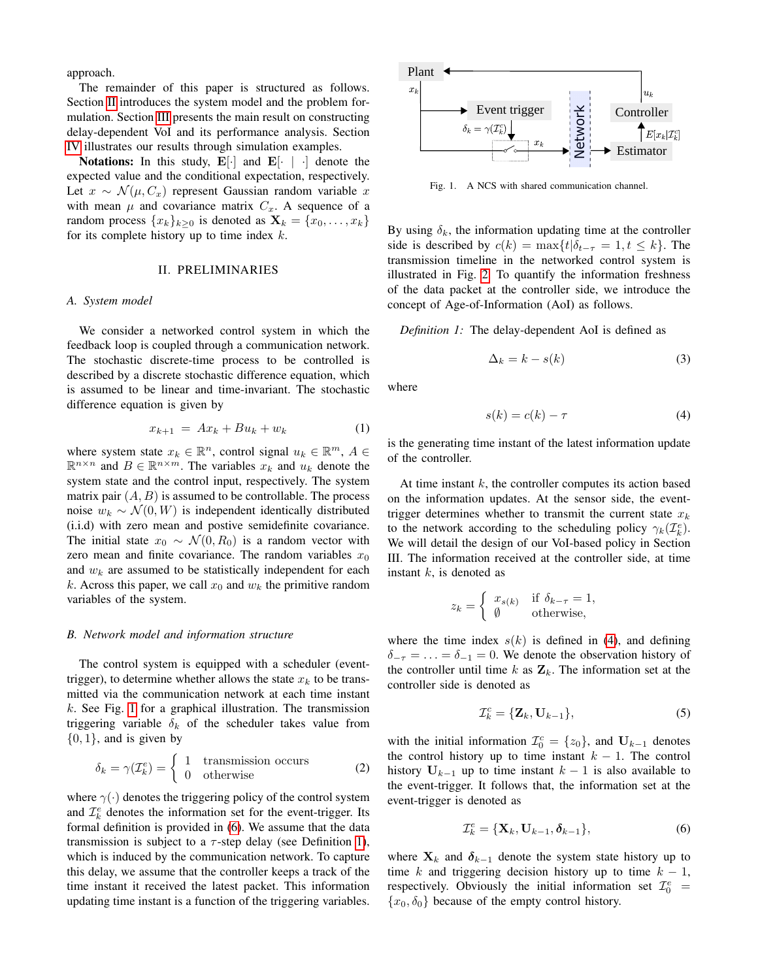approach.

The remainder of this paper is structured as follows. Section [II](#page-1-0) introduces the system model and the problem formulation. Section [III](#page-2-0) presents the main result on constructing delay-dependent VoI and its performance analysis. Section [IV](#page-4-0) illustrates our results through simulation examples.

Notations: In this study,  $\mathbf{E}[\cdot]$  and  $\mathbf{E}[\cdot]$   $\cdot$  denote the expected value and the conditional expectation, respectively. Let  $x \sim \mathcal{N}(\mu, C_x)$  represent Gaussian random variable x with mean  $\mu$  and covariance matrix  $C_x$ . A sequence of a random process  $\{x_k\}_{k\geq 0}$  is denoted as  $\mathbf{X}_k = \{x_0, \ldots, x_k\}$ for its complete history up to time index  $k$ .

### II. PRELIMINARIES

# <span id="page-1-0"></span>*A. System model*

We consider a networked control system in which the feedback loop is coupled through a communication network. The stochastic discrete-time process to be controlled is described by a discrete stochastic difference equation, which is assumed to be linear and time-invariant. The stochastic difference equation is given by

<span id="page-1-6"></span>
$$
x_{k+1} = Ax_k + Bu_k + w_k \tag{1}
$$

where system state  $x_k \in \mathbb{R}^n$ , control signal  $u_k \in \mathbb{R}^m$ ,  $A \in$  $\mathbb{R}^{n \times n}$  and  $B \in \mathbb{R}^{n \times m}$ . The variables  $x_k$  and  $u_k$  denote the system state and the control input, respectively. The system matrix pair  $(A, B)$  is assumed to be controllable. The process noise  $w_k \sim \mathcal{N}(0, W)$  is independent identically distributed (i.i.d) with zero mean and postive semidefinite covariance. The initial state  $x_0 \sim \mathcal{N}(0, R_0)$  is a random vector with zero mean and finite covariance. The random variables  $x_0$ and  $w_k$  are assumed to be statistically independent for each k. Across this paper, we call  $x_0$  and  $w_k$  the primitive random variables of the system.

### *B. Network model and information structure*

The control system is equipped with a scheduler (eventtrigger), to determine whether allows the state  $x_k$  to be transmitted via the communication network at each time instant  $k$ . See Fig. [1](#page-1-1) for a graphical illustration. The transmission triggering variable  $\delta_k$  of the scheduler takes value from  $\{0, 1\}$ , and is given by

<span id="page-1-5"></span>
$$
\delta_k = \gamma(\mathcal{I}_k^e) = \begin{cases} 1 & \text{transmission occurs} \\ 0 & \text{otherwise} \end{cases}
$$
 (2)

where  $\gamma(\cdot)$  denotes the triggering policy of the control system and  $\mathcal{I}_k^e$  denotes the information set for the event-trigger. Its formal definition is provided in [\(6\)](#page-1-2). We assume that the data transmission is subject to a  $\tau$ -step delay (see Definition [1\)](#page-1-3), which is induced by the communication network. To capture this delay, we assume that the controller keeps a track of the time instant it received the latest packet. This information updating time instant is a function of the triggering variables.



<span id="page-1-1"></span>Fig. 1. A NCS with shared communication channel.

By using  $\delta_k$ , the information updating time at the controller side is described by  $c(k) = \max\{t | \delta_{t-\tau} = 1, t \leq k\}.$  The transmission timeline in the networked control system is illustrated in Fig. [2.](#page-2-1) To quantify the information freshness of the data packet at the controller side, we introduce the concept of Age-of-Information (AoI) as follows.

*Definition 1:* The delay-dependent AoI is defined as

<span id="page-1-3"></span>
$$
\Delta_k = k - s(k) \tag{3}
$$

where

<span id="page-1-4"></span>
$$
s(k) = c(k) - \tau \tag{4}
$$

is the generating time instant of the latest information update of the controller.

At time instant  $k$ , the controller computes its action based on the information updates. At the sensor side, the eventtrigger determines whether to transmit the current state  $x_k$ to the network according to the scheduling policy  $\gamma_k(\mathcal{I}_k^e)$ . We will detail the design of our VoI-based policy in Section III. The information received at the controller side, at time instant  $k$ , is denoted as

$$
z_k = \begin{cases} x_{s(k)} & \text{if } \delta_{k-\tau} = 1, \\ \emptyset & \text{otherwise,} \end{cases}
$$

where the time index  $s(k)$  is defined in [\(4\)](#page-1-4), and defining  $\delta_{-\tau} = \ldots = \delta_{-1} = 0$ . We denote the observation history of the controller until time k as  $\mathbf{Z}_k$ . The information set at the controller side is denoted as

$$
\mathcal{I}_k^c = {\mathbf{Z}_k, \mathbf{U}_{k-1}},\tag{5}
$$

with the initial information  $\mathcal{I}_0^c = \{z_0\}$ , and  $\mathbf{U}_{k-1}$  denotes the control history up to time instant  $k - 1$ . The control history  $U_{k-1}$  up to time instant  $k-1$  is also available to the event-trigger. It follows that, the information set at the event-trigger is denoted as

<span id="page-1-2"></span>
$$
\mathcal{I}_k^e = \{ \mathbf{X}_k, \mathbf{U}_{k-1}, \boldsymbol{\delta}_{k-1} \},\tag{6}
$$

where  $X_k$  and  $\delta_{k-1}$  denote the system state history up to time k and triggering decision history up to time  $k - 1$ , respectively. Obviously the initial information set  $\mathcal{I}_0^e$  =  $\{x_0, \delta_0\}$  because of the empty control history.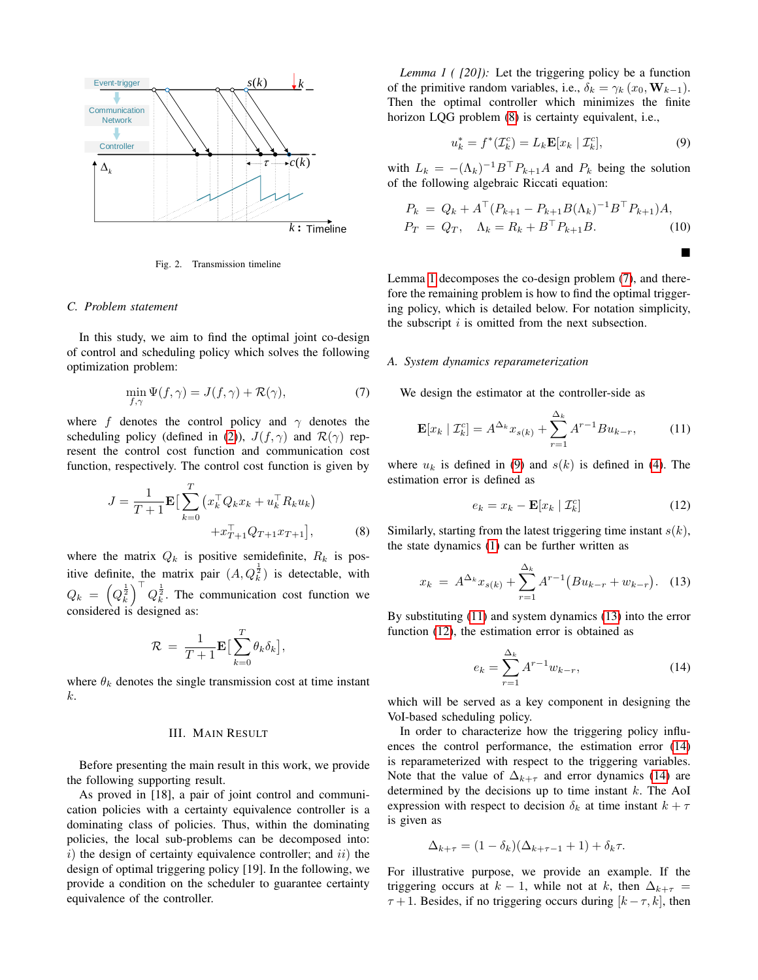

<span id="page-2-1"></span>Fig. 2. Transmission timeline

### *C. Problem statement*

In this study, we aim to find the optimal joint co-design of control and scheduling policy which solves the following optimization problem:

<span id="page-2-4"></span>
$$
\min_{f,\gamma} \Psi(f,\gamma) = J(f,\gamma) + \mathcal{R}(\gamma),\tag{7}
$$

where f denotes the control policy and  $\gamma$  denotes the scheduling policy (defined in [\(2\)](#page-1-5)),  $J(f, \gamma)$  and  $\mathcal{R}(\gamma)$  represent the control cost function and communication cost function, respectively. The control cost function is given by

<span id="page-2-2"></span>
$$
J = \frac{1}{T+1} \mathbf{E} \Big[ \sum_{k=0}^{T} \left( x_k^{\top} Q_k x_k + u_k^{\top} R_k u_k \right) + x_{T+1}^{\top} Q_{T+1} x_{T+1} \Big], \tag{8}
$$

where the matrix  $Q_k$  is positive semidefinite,  $R_k$  is positive definite, the matrix pair  $(A, Q_k^{\frac{1}{2}})$  is detectable, with  $Q_k = \left(Q_k^{\frac{1}{2}}\right)^\top Q_k^{\frac{1}{2}}$ . The communication cost function we considered is designed as:

$$
\mathcal{R} = \frac{1}{T+1} \mathbf{E} \big[ \sum_{k=0}^T \theta_k \delta_k \big],
$$

<span id="page-2-0"></span>where  $\theta_k$  denotes the single transmission cost at time instant k.

# III. MAIN RESULT

Before presenting the main result in this work, we provide the following supporting result.

<span id="page-2-3"></span>As proved in [18], a pair of joint control and communication policies with a certainty equivalence controller is a dominating class of policies. Thus, within the dominating policies, the local sub-problems can be decomposed into: i) the design of certainty equivalence controller; and  $ii$ ) the design of optimal triggering policy [19]. In the following, we provide a condition on the scheduler to guarantee certainty equivalence of the controller.

*Lemma 1 ( [20]):* Let the triggering policy be a function of the primitive random variables, i.e.,  $\delta_k = \gamma_k (x_0, \mathbf{W}_{k-1}).$ Then the optimal controller which minimizes the finite horizon LQG problem [\(8\)](#page-2-2) is certainty equivalent, i.e.,

<span id="page-2-5"></span>
$$
u_k^* = f^*(\mathcal{I}_k^c) = L_k \mathbf{E}[x_k | \mathcal{I}_k^c],\tag{9}
$$

П

with  $L_k = -(\Lambda_k)^{-1} B^{\top} P_{k+1} A$  and  $P_k$  being the solution of the following algebraic Riccati equation:

<span id="page-2-10"></span>
$$
P_k = Q_k + A^{\top} (P_{k+1} - P_{k+1} B(\Lambda_k)^{-1} B^{\top} P_{k+1}) A,
$$
  
\n
$$
P_T = Q_T, \quad \Lambda_k = R_k + B^{\top} P_{k+1} B.
$$
\n(10)

Lemma [1](#page-2-3) decomposes the co-design problem [\(7\)](#page-2-4), and therefore the remaining problem is how to find the optimal triggering policy, which is detailed below. For notation simplicity, the subscript  $i$  is omitted from the next subsection.

### *A. System dynamics reparameterization*

We design the estimator at the controller-side as

<span id="page-2-6"></span>
$$
\mathbf{E}[x_k | \mathcal{I}_k^c] = A^{\Delta_k} x_{s(k)} + \sum_{r=1}^{\Delta_k} A^{r-1} B u_{k-r}, \quad (11)
$$

where  $u_k$  is defined in [\(9\)](#page-2-5) and  $s(k)$  is defined in [\(4\)](#page-1-4). The estimation error is defined as

<span id="page-2-8"></span>
$$
e_k = x_k - \mathbf{E}[x_k | \mathcal{I}_k^c]
$$
 (12)

Similarly, starting from the latest triggering time instant  $s(k)$ , the state dynamics [\(1\)](#page-1-6) can be further written as

<span id="page-2-7"></span>
$$
x_k = A^{\Delta_k} x_{s(k)} + \sum_{r=1}^{\Delta_k} A^{r-1} (Bu_{k-r} + w_{k-r}). \quad (13)
$$

By substituting [\(11\)](#page-2-6) and system dynamics [\(13\)](#page-2-7) into the error function [\(12\)](#page-2-8), the estimation error is obtained as

<span id="page-2-9"></span>
$$
e_k = \sum_{r=1}^{\Delta_k} A^{r-1} w_{k-r},
$$
\n(14)

which will be served as a key component in designing the VoI-based scheduling policy.

In order to characterize how the triggering policy influences the control performance, the estimation error [\(14\)](#page-2-9) is reparameterized with respect to the triggering variables. Note that the value of  $\Delta_{k+\tau}$  and error dynamics [\(14\)](#page-2-9) are determined by the decisions up to time instant  $k$ . The AoI expression with respect to decision  $\delta_k$  at time instant  $k + \tau$ is given as

$$
\Delta_{k+\tau} = (1 - \delta_k)(\Delta_{k+\tau-1} + 1) + \delta_k \tau.
$$

For illustrative purpose, we provide an example. If the triggering occurs at  $k - 1$ , while not at k, then  $\Delta_{k+\tau}$  $\tau + 1$ . Besides, if no triggering occurs during  $[k - \tau, k]$ , then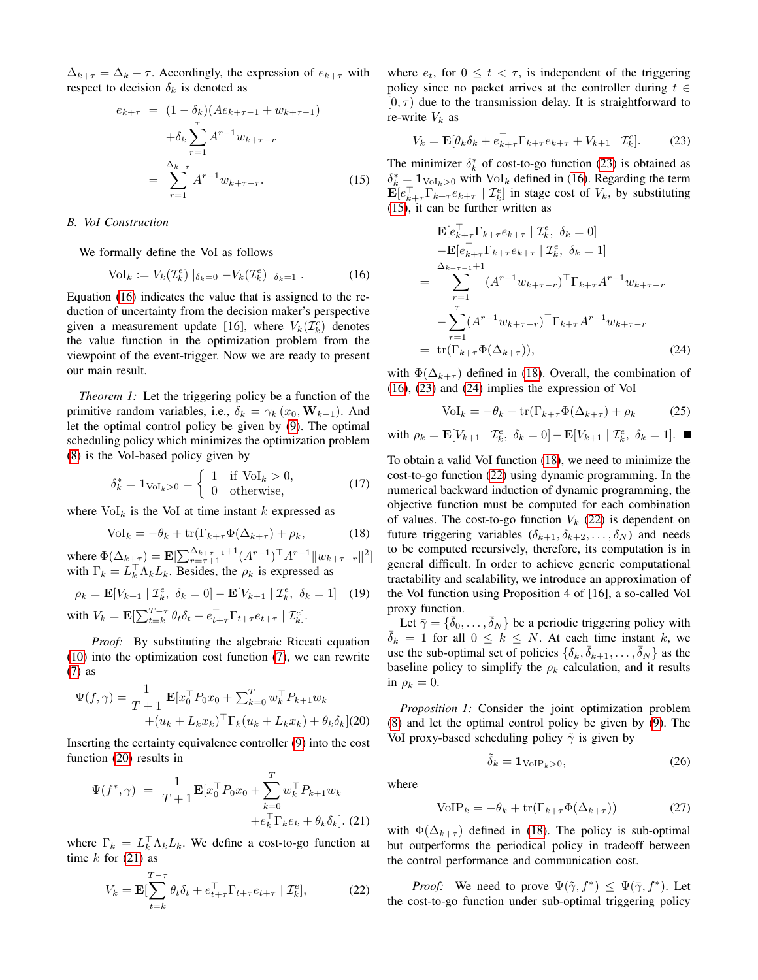$\Delta_{k+\tau} = \Delta_k + \tau$ . Accordingly, the expression of  $e_{k+\tau}$  with respect to decision  $\delta_k$  is denoted as

<span id="page-3-4"></span>
$$
e_{k+\tau} = (1 - \delta_k)(Ae_{k+\tau-1} + w_{k+\tau-1})
$$
  
+  $\delta_k \sum_{r=1}^{\tau} A^{r-1} w_{k+\tau-r}$   
=  $\sum_{r=1}^{\Delta_{k+\tau}} A^{r-1} w_{k+\tau-r}$ . (15)

# *B. VoI Construction*

We formally define the VoI as follows

<span id="page-3-0"></span>
$$
\text{Vol}_k := V_k(\mathcal{I}_k^e) \mid_{\delta_k=0} -V_k(\mathcal{I}_k^e) \mid_{\delta_k=1}.
$$
 (16)

Equation [\(16\)](#page-3-0) indicates the value that is assigned to the reduction of uncertainty from the decision maker's perspective given a measurement update [16], where  $V_k(\mathcal{I}_k^e)$  denotes the value function in the optimization problem from the viewpoint of the event-trigger. Now we are ready to present our main result.

*Theorem 1:* Let the triggering policy be a function of the primitive random variables, i.e.,  $\delta_k = \gamma_k (x_0, \mathbf{W}_{k-1})$ . And let the optimal control policy be given by [\(9\)](#page-2-5). The optimal scheduling policy which minimizes the optimization problem [\(8\)](#page-2-2) is the VoI-based policy given by

$$
\delta_k^* = \mathbf{1}_{\text{Vol}_k > 0} = \begin{cases} 1 & \text{if } \text{Vol}_k > 0, \\ 0 & \text{otherwise,} \end{cases} \tag{17}
$$

where  $\text{Vol}_k$  is the VoI at time instant k expressed as

<span id="page-3-5"></span>
$$
Vol_k = -\theta_k + \text{tr}(\Gamma_{k+\tau}\Phi(\Delta_{k+\tau}) + \rho_k, \tag{18}
$$

where  $\Phi(\Delta_{k+\tau}) = \mathbf{E}[\sum_{r=\tau+1}^{\Delta_{k+\tau-1}+1} (A^{r-1})^{\top} A^{r-1} || w_{k+\tau-r} ||^2]$ with  $\Gamma_k = L_k^{\top} \Lambda_k L_k$ . Besides, the  $\rho_k$  is expressed as

$$
\rho_k = \mathbf{E}[V_{k+1} | \mathcal{I}_k^e, \delta_k = 0] - \mathbf{E}[V_{k+1} | \mathcal{I}_k^e, \delta_k = 1] \quad (19)
$$
  
with 
$$
V_k = \mathbf{E}[\sum_{t=k}^{T-\tau} \theta_t \delta_t + e_{t+\tau}^\top \Gamma_{t+\tau} e_{t+\tau} | \mathcal{I}_k^e].
$$

*Proof:* By substituting the algebraic Riccati equation

[\(10\)](#page-2-10) into the optimization cost function [\(7\)](#page-2-4), we can rewrite [\(7\)](#page-2-4) as

<span id="page-3-1"></span>
$$
\Psi(f,\gamma) = \frac{1}{T+1} \mathbf{E} [x_0^\top P_0 x_0 + \sum_{k=0}^T w_k^\top P_{k+1} w_k + (u_k + L_k x_k)^\top \Gamma_k (u_k + L_k x_k) + \theta_k \delta_k]
$$
(20)

Inserting the certainty equivalence controller [\(9\)](#page-2-5) into the cost function [\(20\)](#page-3-1) results in

<span id="page-3-2"></span>
$$
\Psi(f^*, \gamma) = \frac{1}{T+1} \mathbf{E}[x_0^\top P_0 x_0 + \sum_{k=0}^T w_k^\top P_{k+1} w_k + e_k^\top \Gamma_k e_k + \theta_k \delta_k].
$$
 (21)

where  $\Gamma_k = L_k^{\top} \Lambda_k L_k$ . We define a cost-to-go function at time  $k$  for [\(21\)](#page-3-2) as

<span id="page-3-7"></span>
$$
V_k = \mathbf{E} \left[ \sum_{t=k}^{T-\tau} \theta_t \delta_t + e_{t+\tau}^\top \Gamma_{t+\tau} e_{t+\tau} \mid \mathcal{I}_k^e \right],\tag{22}
$$

where  $e_t$ , for  $0 \le t < \tau$ , is independent of the triggering policy since no packet arrives at the controller during  $t \in$  $[0, \tau)$  due to the transmission delay. It is straightforward to re-write  $V_k$  as

<span id="page-3-3"></span>
$$
V_k = \mathbf{E}[\theta_k \delta_k + e_{k+\tau}^\top \Gamma_{k+\tau} e_{k+\tau} + V_{k+1} | \mathcal{I}_k^e].
$$
 (23)

The minimizer  $\delta_k^*$  of cost-to-go function [\(23\)](#page-3-3) is obtained as  $\delta_k^* = \mathbf{1}_{\text{Vol}_k > 0}$  with  $\text{Vol}_k$  defined in [\(16\)](#page-3-0). Regarding the term  $\mathbf{E}[e_{k+\tau}^{\top}\Gamma_{k+\tau}e_{k+\tau} | \mathcal{I}_{k}^{e}]$  in stage cost of  $V_{k}$ , by substituting [\(15\)](#page-3-4), it can be further written as

<span id="page-3-6"></span>
$$
\mathbf{E}[e_{k+\tau}^{\top} \Gamma_{k+\tau} e_{k+\tau} | \mathcal{I}_{k}^{e}, \delta_{k} = 0] - \mathbf{E}[e_{k+\tau}^{\top} \Gamma_{k+\tau} e_{k+\tau} | \mathcal{I}_{k}^{e}, \delta_{k} = 1] \\
= \sum_{r=1}^{\Delta_{k+\tau-1}+1} (A^{r-1} w_{k+\tau-r})^{\top} \Gamma_{k+\tau} A^{r-1} w_{k+\tau-r} \\
- \sum_{r=1}^{\tau} (A^{r-1} w_{k+\tau-r})^{\top} \Gamma_{k+\tau} A^{r-1} w_{k+\tau-r} \\
= \text{tr}(\Gamma_{k+\tau} \Phi(\Delta_{k+\tau})), \tag{24}
$$

with  $\Phi(\Delta_{k+\tau})$  defined in [\(18\)](#page-3-5). Overall, the combination of [\(16\)](#page-3-0), [\(23\)](#page-3-3) and [\(24\)](#page-3-6) implies the expression of VoI

$$
Vol_k = -\theta_k + \text{tr}(\Gamma_{k+\tau}\Phi(\Delta_{k+\tau}) + \rho_k \tag{25}
$$

with 
$$
\rho_k = \mathbf{E}[V_{k+1} | \mathcal{I}_k^e, \delta_k = 0] - \mathbf{E}[V_{k+1} | \mathcal{I}_k^e, \delta_k = 1]. \blacksquare
$$

To obtain a valid VoI function [\(18\)](#page-3-5), we need to minimize the cost-to-go function [\(22\)](#page-3-7) using dynamic programming. In the numerical backward induction of dynamic programming, the objective function must be computed for each combination of values. The cost-to-go function  $V_k$  [\(22\)](#page-3-7) is dependent on future triggering variables  $(\delta_{k+1}, \delta_{k+2}, \ldots, \delta_N)$  and needs to be computed recursively, therefore, its computation is in general difficult. In order to achieve generic computational tractability and scalability, we introduce an approximation of the VoI function using Proposition 4 of [16], a so-called VoI proxy function.

Let  $\bar{\gamma} = {\bar{\delta}_0, \ldots, \bar{\delta}_N}$  be a periodic triggering policy with  $\overline{\delta}_k = 1$  for all  $0 \leq k \leq N$ . At each time instant k, we use the sub-optimal set of policies  $\{\delta_k, \overline{\delta}_{k+1}, \ldots, \overline{\delta}_N\}$  as the baseline policy to simplify the  $\rho_k$  calculation, and it results in  $\rho_k = 0$ .

<span id="page-3-10"></span>*Proposition 1:* Consider the joint optimization problem [\(8\)](#page-2-2) and let the optimal control policy be given by [\(9\)](#page-2-5). The VoI proxy-based scheduling policy  $\tilde{\gamma}$  is given by

<span id="page-3-8"></span>
$$
\tilde{\delta}_k = \mathbf{1}_{\text{VoIP}_k > 0},\tag{26}
$$

where

<span id="page-3-9"></span>
$$
VOIP_k = -\theta_k + \text{tr}(\Gamma_{k+\tau}\Phi(\Delta_{k+\tau}))
$$
 (27)

with  $\Phi(\Delta_{k+\tau})$  defined in [\(18\)](#page-3-5). The policy is sub-optimal but outperforms the periodical policy in tradeoff between the control performance and communication cost.

*Proof:* We need to prove  $\Psi(\tilde{\gamma}, f^*) \leq \Psi(\bar{\gamma}, f^*)$ . Let the cost-to-go function under sub-optimal triggering policy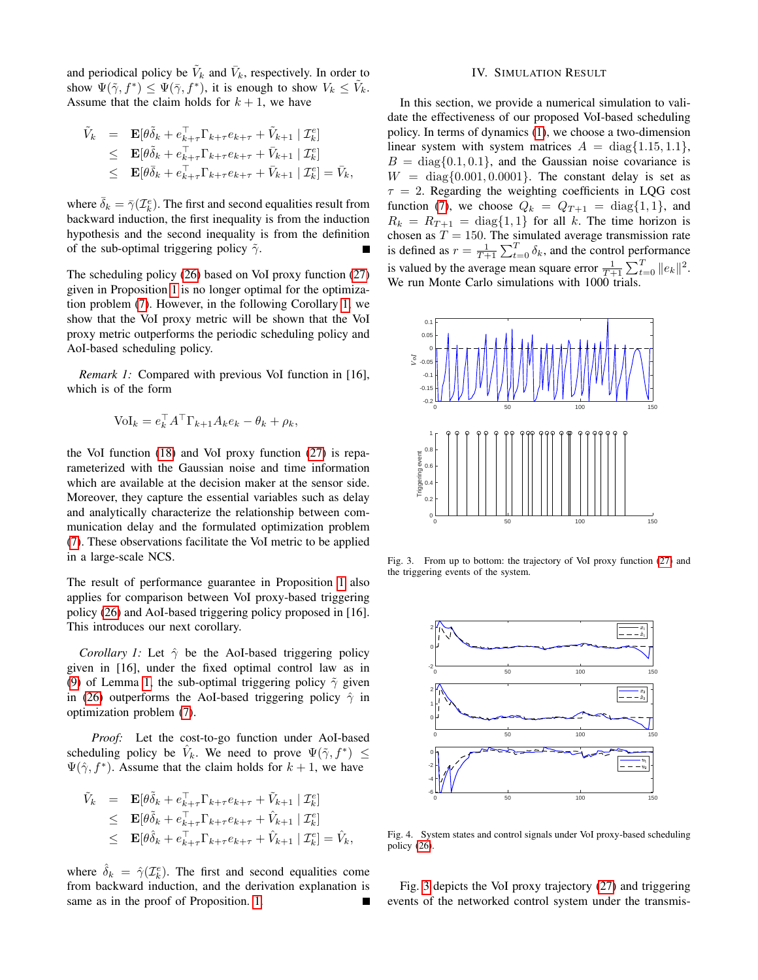and periodical policy be  $\tilde{V}_k$  and  $\bar{V}_k$ , respectively. In order to show  $\Psi(\tilde{\gamma}, f^*) \leq \Psi(\bar{\gamma}, f^*)$ , it is enough to show  $V_k \leq \tilde{V}_k$ . Assume that the claim holds for  $k + 1$ , we have

$$
\tilde{V}_k = \mathbf{E}[\theta \tilde{\delta}_k + e_{k+\tau}^{\top} \Gamma_{k+\tau} e_{k+\tau} + \tilde{V}_{k+1} | \mathcal{I}_k^e] \n\leq \mathbf{E}[\theta \tilde{\delta}_k + e_{k+\tau}^{\top} \Gamma_{k+\tau} e_{k+\tau} + \bar{V}_{k+1} | \mathcal{I}_k^e] \n\leq \mathbf{E}[\theta \bar{\delta}_k + e_{k+\tau}^{\top} \Gamma_{k+\tau} e_{k+\tau} + \bar{V}_{k+1} | \mathcal{I}_k^e] = \bar{V}_k,
$$

where  $\bar{\delta}_k = \bar{\gamma}(\mathcal{I}_k^e)$ . The first and second equalities result from backward induction, the first inequality is from the induction hypothesis and the second inequality is from the definition of the sub-optimal triggering policy  $\tilde{\gamma}$ .

The scheduling policy [\(26\)](#page-3-8) based on VoI proxy function [\(27\)](#page-3-9) given in Proposition [1](#page-3-10) is no longer optimal for the optimization problem [\(7\)](#page-2-4). However, in the following Corollary [1,](#page-4-1) we show that the VoI proxy metric will be shown that the VoI proxy metric outperforms the periodic scheduling policy and AoI-based scheduling policy.

*Remark 1:* Compared with previous VoI function in [16], which is of the form

$$
Vol_k = e_k^{\top} A^{\top} \Gamma_{k+1} A_k e_k - \theta_k + \rho_k,
$$

the VoI function [\(18\)](#page-3-5) and VoI proxy function [\(27\)](#page-3-9) is reparameterized with the Gaussian noise and time information which are available at the decision maker at the sensor side. Moreover, they capture the essential variables such as delay and analytically characterize the relationship between communication delay and the formulated optimization problem [\(7\)](#page-2-4). These observations facilitate the VoI metric to be applied in a large-scale NCS.

The result of performance guarantee in Proposition [1](#page-3-10) also applies for comparison between VoI proxy-based triggering policy [\(26\)](#page-3-8) and AoI-based triggering policy proposed in [16]. This introduces our next corollary.

*Corollary 1:* Let  $\hat{\gamma}$  be the AoI-based triggering policy given in [16], under the fixed optimal control law as in [\(9\)](#page-2-5) of Lemma [1,](#page-2-3) the sub-optimal triggering policy  $\tilde{\gamma}$  given in [\(26\)](#page-3-8) outperforms the AoI-based triggering policy  $\hat{\gamma}$  in optimization problem [\(7\)](#page-2-4).

*Proof:* Let the cost-to-go function under AoI-based scheduling policy be  $\hat{V}_k$ . We need to prove  $\Psi(\tilde{\gamma}, f^*) \leq$  $\Psi(\hat{\gamma}, f^*)$ . Assume that the claim holds for  $k + 1$ , we have

$$
\tilde{V}_k = \mathbf{E}[\theta \tilde{\delta}_k + e_{k+\tau}^\top \Gamma_{k+\tau} e_{k+\tau} + \tilde{V}_{k+1} | \mathcal{I}_k^e]
$$
\n
$$
\leq \mathbf{E}[\theta \tilde{\delta}_k + e_{k+\tau}^\top \Gamma_{k+\tau} e_{k+\tau} + \hat{V}_{k+1} | \mathcal{I}_k^e]
$$
\n
$$
\leq \mathbf{E}[\theta \hat{\delta}_k + e_{k+\tau}^\top \Gamma_{k+\tau} e_{k+\tau} + \hat{V}_{k+1} | \mathcal{I}_k^e] = \hat{V}_k,
$$

where  $\hat{\delta}_k = \hat{\gamma}(\mathcal{I}_k^e)$ . The first and second equalities come from backward induction, and the derivation explanation is same as in the proof of Proposition. [1.](#page-3-10)

# IV. SIMULATION RESULT

<span id="page-4-0"></span>In this section, we provide a numerical simulation to validate the effectiveness of our proposed VoI-based scheduling policy. In terms of dynamics [\(1\)](#page-1-6), we choose a two-dimension linear system with system matrices  $A = \text{diag}\{1.15, 1.1\}$ ,  $B = \text{diag}\{0.1, 0.1\}$ , and the Gaussian noise covariance is  $W = \text{diag}\{0.001, 0.0001\}$ . The constant delay is set as  $\tau = 2$ . Regarding the weighting coefficients in LQG cost function [\(7\)](#page-2-4), we choose  $Q_k = Q_{T+1} = \text{diag}\{1, 1\}$ , and  $R_k = R_{T+1} = \text{diag}\{1, 1\}$  for all k. The time horizon is chosen as  $T = 150$ . The simulated average transmission rate is defined as  $r = \frac{1}{T+1} \sum_{t=0}^{T} \delta_k$ , and the control performance is valued by the average mean square error  $\frac{1}{T+1} \sum_{t=0}^{T} ||e_k||^2$ . We run Monte Carlo simulations with 1000 trials.



<span id="page-4-2"></span><span id="page-4-1"></span>Fig. 3. From up to bottom: the trajectory of VoI proxy function [\(27\)](#page-3-9) and the triggering events of the system.



<span id="page-4-3"></span>Fig. 4. System states and control signals under VoI proxy-based scheduling policy [\(26\)](#page-3-8).

Fig. [3](#page-4-2) depicts the VoI proxy trajectory [\(27\)](#page-3-9) and triggering events of the networked control system under the transmis-